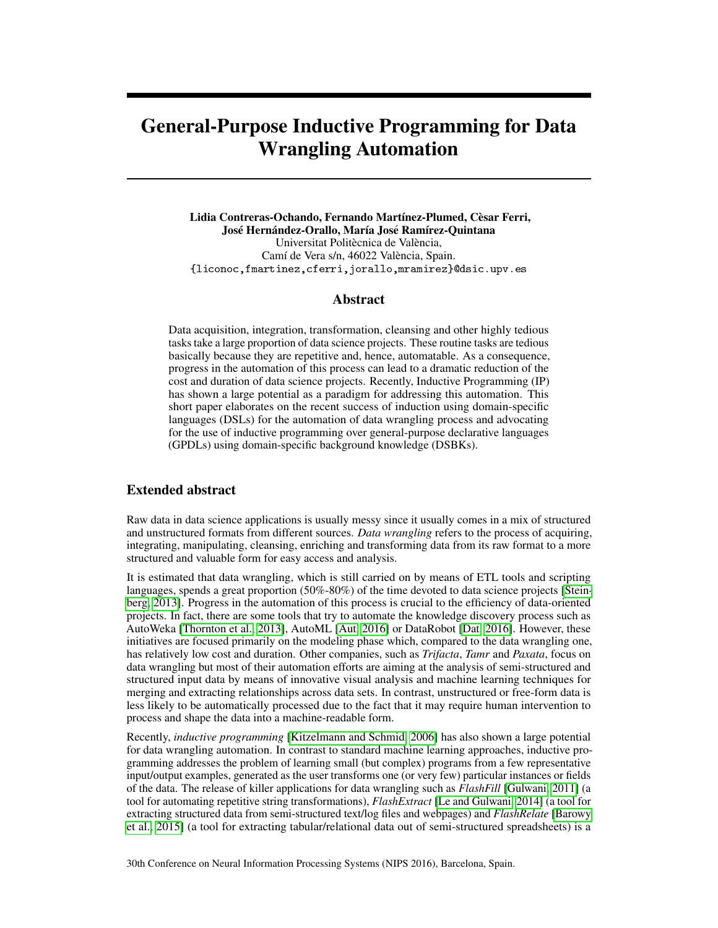# General-Purpose Inductive Programming for Data Wrangling Automation

Lidia Contreras-Ochando, Fernando Martínez-Plumed, Cèsar Ferri, José Hernández-Orallo, María José Ramírez-Quintana Universitat Politècnica de València, Camí de Vera s/n, 46022 València, Spain. {liconoc,fmartinez,cferri,jorallo,mramirez}@dsic.upv.es

#### Abstract

Data acquisition, integration, transformation, cleansing and other highly tedious tasks take a large proportion of data science projects. These routine tasks are tedious basically because they are repetitive and, hence, automatable. As a consequence, progress in the automation of this process can lead to a dramatic reduction of the cost and duration of data science projects. Recently, Inductive Programming (IP) has shown a large potential as a paradigm for addressing this automation. This short paper elaborates on the recent success of induction using domain-specific languages (DSLs) for the automation of data wrangling process and advocating for the use of inductive programming over general-purpose declarative languages (GPDLs) using domain-specific background knowledge (DSBKs).

## Extended abstract

Raw data in data science applications is usually messy since it usually comes in a mix of structured and unstructured formats from different sources. *Data wrangling* refers to the process of acquiring, integrating, manipulating, cleansing, enriching and transforming data from its raw format to a more structured and valuable form for easy access and analysis.

It is estimated that data wrangling, which is still carried on by means of ETL tools and scripting languages, spends a great proportion (50%-80%) of the time devoted to data science projects [\[Stein](#page-2-0)[berg, 2013\]](#page-2-0). Progress in the automation of this process is crucial to the efficiency of data-oriented projects. In fact, there are some tools that try to automate the knowledge discovery process such as AutoWeka [\[Thornton et al., 2013\]](#page-3-0), AutoML [\[Aut, 2016\]](#page-2-1) or DataRobot [\[Dat, 2016\]](#page-2-2). However, these initiatives are focused primarily on the modeling phase which, compared to the data wrangling one, has relatively low cost and duration. Other companies, such as *Trifacta*, *Tamr* and *Paxata*, focus on data wrangling but most of their automation efforts are aiming at the analysis of semi-structured and structured input data by means of innovative visual analysis and machine learning techniques for merging and extracting relationships across data sets. In contrast, unstructured or free-form data is less likely to be automatically processed due to the fact that it may require human intervention to process and shape the data into a machine-readable form.

Recently, *inductive programming* [\[Kitzelmann and Schmid, 2006\]](#page-2-3) has also shown a large potential for data wrangling automation. In contrast to standard machine learning approaches, inductive programming addresses the problem of learning small (but complex) programs from a few representative input/output examples, generated as the user transforms one (or very few) particular instances or fields of the data. The release of killer applications for data wrangling such as *FlashFill* [\[Gulwani, 2011\]](#page-2-4) (a tool for automating repetitive string transformations), *FlashExtract* [\[Le and Gulwani, 2014\]](#page-2-5) (a tool for extracting structured data from semi-structured text/log files and webpages) and *FlashRelate* [\[Barowy](#page-2-6) [et al., 2015\]](#page-2-6) (a tool for extracting tabular/relational data out of semi-structured spreadsheets) is a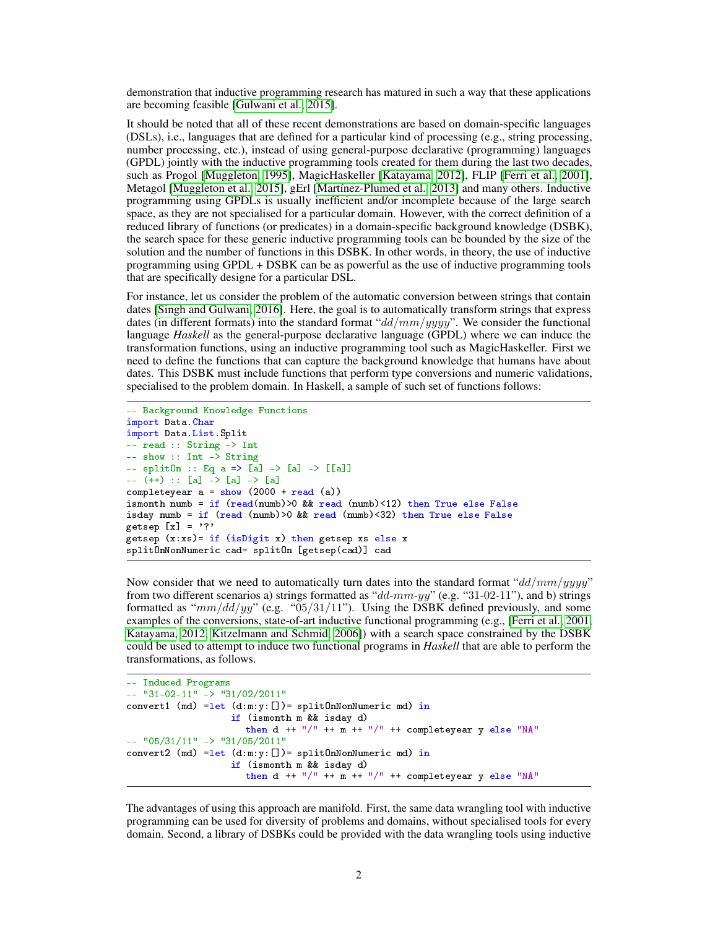demonstration that inductive programming research has matured in such a way that these applications are becoming feasible [\[Gulwani et al., 2015\]](#page-2-7).

It should be noted that all of these recent demonstrations are based on domain-specific languages (DSLs), i.e., languages that are defined for a particular kind of processing (e.g., string processing, number processing, etc.), instead of using general-purpose declarative (programming) languages (GPDL) jointly with the inductive programming tools created for them during the last two decades, such as Progol [\[Muggleton, 1995\]](#page-2-8), MagicHaskeller [\[Katayama, 2012\]](#page-2-9), FLIP [\[Ferri et al., 2001\]](#page-2-10), Metagol [\[Muggleton et al., 2015\]](#page-2-11), gErl [\[Martínez-Plumed et al., 2013\]](#page-2-12) and many others. Inductive programming using GPDLs is usually inefficient and/or incomplete because of the large search space, as they are not specialised for a particular domain. However, with the correct definition of a reduced library of functions (or predicates) in a domain-specific background knowledge (DSBK), the search space for these generic inductive programming tools can be bounded by the size of the solution and the number of functions in this DSBK. In other words, in theory, the use of inductive programming using GPDL + DSBK can be as powerful as the use of inductive programming tools that are specifically designe for a particular DSL.

For instance, let us consider the problem of the automatic conversion between strings that contain dates [\[Singh and Gulwani, 2016\]](#page-2-13). Here, the goal is to automatically transform strings that express dates (in different formats) into the standard format " $dd/mm/yyyy'$ ". We consider the functional language *Haskell* as the general-purpose declarative language (GPDL) where we can induce the transformation functions, using an inductive programming tool such as MagicHaskeller. First we need to define the functions that can capture the background knowledge that humans have about dates. This DSBK must include functions that perform type conversions and numeric validations, specialised to the problem domain. In Haskell, a sample of such set of functions follows:

```
-- Background Knowledge Functions
import Data.Char
import Data.List.Split
-- read :: String -> Int
-- show :: Int -> String
-- split0n :: Eq a => [a] -> [a] -> [[a]]
-(- +) :: [a] - [a] - [a]
completeyear a = show (2000 + read (a))ismonth numb = if (\text{read(numb)}>0 && read (\text{numb})<12) then True else False
isday numb = if (read (numb)>0 && read (numb)<32) then True else False
getsep [x] = '?'
getsep (x:xs) = if (isDigit x) then getsep xs else xsplitOnNonNumeric cad= splitOn [getsep(cad)] cad
```
Now consider that we need to automatically turn dates into the standard format " $dd/mm/yyy''$ " from two different scenarios a) strings formatted as " $dd\text{-}mm\text{-}yy$ " (e.g. "31-02-11"), and b) strings formatted as " $mm/dd/yy$ " (e.g. "05/31/11"). Using the DSBK defined previously, and some examples of the conversions, state-of-art inductive functional programming (e.g., [\[Ferri et al., 2001,](#page-2-10) [Katayama, 2012,](#page-2-9) [Kitzelmann and Schmid, 2006\]](#page-2-3)) with a search space constrained by the DSBK could be used to attempt to induce two functional programs in *Haskell* that are able to perform the transformations, as follows.

```
-- Induced Programs
-- "31-02-11" -> "31/02/2011"
convert1 (md) =let (d:m:y:[]) = splitOnNonNumberic md) inif (ismonth m && isday d)
                         then d ++ \frac{m}{m} ++ \frac{m}{m} ++ \frac{m}{m} ++ completeyear y else "NA"
-- "05/31/11" -> "31/05/2011"
convert2 (md) =let (d:m:y:[]) = splitOnNonNumberic md) inif (ismonth m && isday d)
                         then d ++ \frac{m}{n} ++ \frac{m}{n} ++ \frac{m}{n} ++ completeyear y else "NA"
```
The advantages of using this approach are manifold. First, the same data wrangling tool with inductive programming can be used for diversity of problems and domains, without specialised tools for every domain. Second, a library of DSBKs could be provided with the data wrangling tools using inductive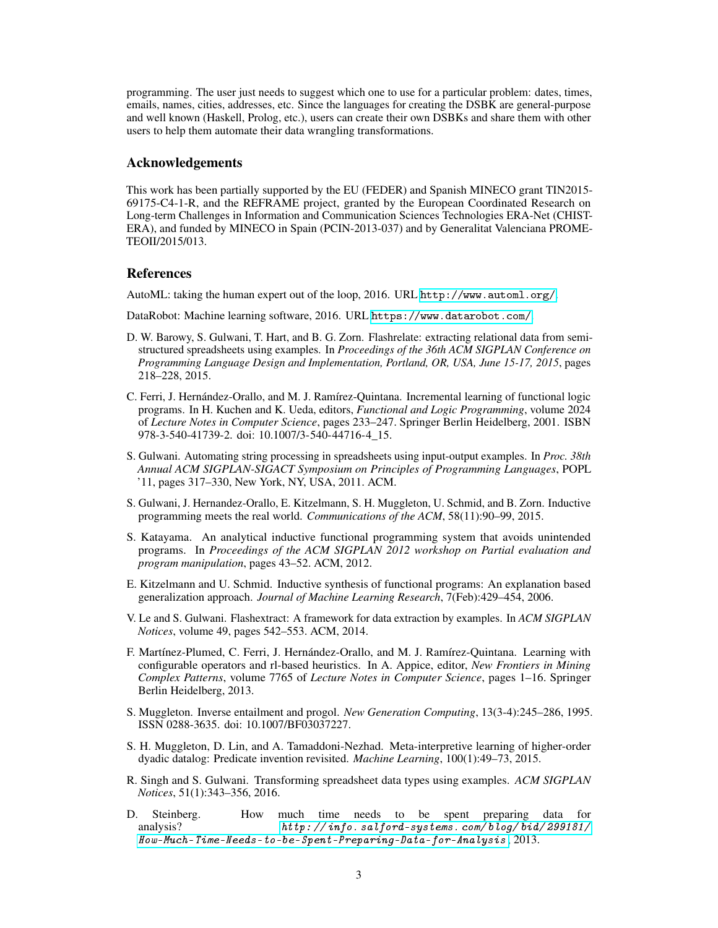programming. The user just needs to suggest which one to use for a particular problem: dates, times, emails, names, cities, addresses, etc. Since the languages for creating the DSBK are general-purpose and well known (Haskell, Prolog, etc.), users can create their own DSBKs and share them with other users to help them automate their data wrangling transformations.

### Acknowledgements

This work has been partially supported by the EU (FEDER) and Spanish MINECO grant TIN2015- 69175-C4-1-R, and the REFRAME project, granted by the European Coordinated Research on Long-term Challenges in Information and Communication Sciences Technologies ERA-Net (CHIST-ERA), and funded by MINECO in Spain (PCIN-2013-037) and by Generalitat Valenciana PROME-TEOII/2015/013.

## **References**

<span id="page-2-1"></span>AutoML: taking the human expert out of the loop, 2016. URL <http://www.automl.org/>.

<span id="page-2-2"></span>DataRobot: Machine learning software, 2016. URL <https://www.datarobot.com/>.

- <span id="page-2-6"></span>D. W. Barowy, S. Gulwani, T. Hart, and B. G. Zorn. Flashrelate: extracting relational data from semistructured spreadsheets using examples. In *Proceedings of the 36th ACM SIGPLAN Conference on Programming Language Design and Implementation, Portland, OR, USA, June 15-17, 2015*, pages 218–228, 2015.
- <span id="page-2-10"></span>C. Ferri, J. Hernández-Orallo, and M. J. Ramírez-Quintana. Incremental learning of functional logic programs. In H. Kuchen and K. Ueda, editors, *Functional and Logic Programming*, volume 2024 of *Lecture Notes in Computer Science*, pages 233–247. Springer Berlin Heidelberg, 2001. ISBN 978-3-540-41739-2. doi: 10.1007/3-540-44716-4\_15.
- <span id="page-2-4"></span>S. Gulwani. Automating string processing in spreadsheets using input-output examples. In *Proc. 38th Annual ACM SIGPLAN-SIGACT Symposium on Principles of Programming Languages*, POPL '11, pages 317–330, New York, NY, USA, 2011. ACM.
- <span id="page-2-7"></span>S. Gulwani, J. Hernandez-Orallo, E. Kitzelmann, S. H. Muggleton, U. Schmid, and B. Zorn. Inductive programming meets the real world. *Communications of the ACM*, 58(11):90–99, 2015.
- <span id="page-2-9"></span>S. Katayama. An analytical inductive functional programming system that avoids unintended programs. In *Proceedings of the ACM SIGPLAN 2012 workshop on Partial evaluation and program manipulation*, pages 43–52. ACM, 2012.
- <span id="page-2-3"></span>E. Kitzelmann and U. Schmid. Inductive synthesis of functional programs: An explanation based generalization approach. *Journal of Machine Learning Research*, 7(Feb):429–454, 2006.
- <span id="page-2-5"></span>V. Le and S. Gulwani. Flashextract: A framework for data extraction by examples. In *ACM SIGPLAN Notices*, volume 49, pages 542–553. ACM, 2014.
- <span id="page-2-12"></span>F. Martínez-Plumed, C. Ferri, J. Hernández-Orallo, and M. J. Ramírez-Quintana. Learning with configurable operators and rl-based heuristics. In A. Appice, editor, *New Frontiers in Mining Complex Patterns*, volume 7765 of *Lecture Notes in Computer Science*, pages 1–16. Springer Berlin Heidelberg, 2013.
- <span id="page-2-8"></span>S. Muggleton. Inverse entailment and progol. *New Generation Computing*, 13(3-4):245–286, 1995. ISSN 0288-3635. doi: 10.1007/BF03037227.
- <span id="page-2-11"></span>S. H. Muggleton, D. Lin, and A. Tamaddoni-Nezhad. Meta-interpretive learning of higher-order dyadic datalog: Predicate invention revisited. *Machine Learning*, 100(1):49–73, 2015.
- <span id="page-2-13"></span>R. Singh and S. Gulwani. Transforming spreadsheet data types using examples. *ACM SIGPLAN Notices*, 51(1):343–356, 2016.
- <span id="page-2-0"></span>D. Steinberg. How much time needs to be spent preparing data for analysis? [http: // info. salford-systems. com/ blog/ bid/ 299181/](http://info.salford-systems.com/blog/bid/299181/How-Much-Time-Needs-to-be-Spent-Preparing-Data-for-Analysis)  $How-Much-Time-Needs-to-be-Spent-Preparing-Data-for-Analysis, 2013.$  $How-Much-Time-Needs-to-be-Spent-Preparing-Data-for-Analysis, 2013.$